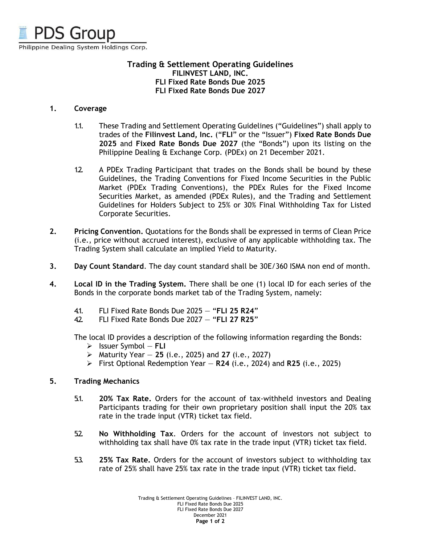

## **Trading & Settlement Operating Guidelines FILINVEST LAND, INC. FLI Fixed Rate Bonds Due 2025 FLI Fixed Rate Bonds Due 2027**

## **1. Coverage**

- 1.1. These Trading and Settlement Operating Guidelines ("Guidelines") shall apply to trades of the **Filinvest Land, Inc.** ("**FLI**" or the "Issuer") **Fixed Rate Bonds Due 2025** and **Fixed Rate Bonds Due 2027** (the "Bonds") upon its listing on the Philippine Dealing & Exchange Corp. (PDEx) on 21 December 2021.
- 1.2. A PDEx Trading Participant that trades on the Bonds shall be bound by these Guidelines, the Trading Conventions for Fixed Income Securities in the Public Market (PDEx Trading Conventions), the PDEx Rules for the Fixed Income Securities Market, as amended (PDEx Rules), and the Trading and Settlement Guidelines for Holders Subject to 25% or 30% Final Withholding Tax for Listed Corporate Securities.
- **2. Pricing Convention.** Quotations for the Bonds shall be expressed in terms of Clean Price (i.e., price without accrued interest), exclusive of any applicable withholding tax. The Trading System shall calculate an implied Yield to Maturity.
- **3. Day Count Standard**. The day count standard shall be 30E/360 ISMA non end of month.
- **4. Local ID in the Trading System.** There shall be one (1) local ID for each series of the Bonds in the corporate bonds market tab of the Trading System, namely:
	- 4.1. FLI Fixed Rate Bonds Due 2025 "**FLI 25 R24**"
	- 4.2. FLI Fixed Rate Bonds Due 2027 "**FLI 27 R25**"

The local ID provides a description of the following information regarding the Bonds:

- ➢ Issuer Symbol **FLI**
- ➢ Maturity Year **25** (i.e., 2025) and **27** (i.e., 2027)
- ➢ First Optional Redemption Year **R24** (i.e., 2024) and **R25** (i.e., 2025)

## **5. Trading Mechanics**

- 5.1. **20% Tax Rate.** Orders for the account of tax-withheld investors and Dealing Participants trading for their own proprietary position shall input the 20% tax rate in the trade input (VTR) ticket tax field.
- 5.2. **No Withholding Tax**. Orders for the account of investors not subject to withholding tax shall have 0% tax rate in the trade input (VTR) ticket tax field.
- 5.3. **25% Tax Rate.** Orders for the account of investors subject to withholding tax rate of 25% shall have 25% tax rate in the trade input (VTR) ticket tax field.